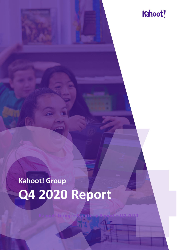

# **Kahoot! Group Q4 2020 Report**

**Kahoot! Group – Quarterly Report – Q4 2020**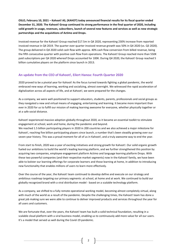**OSLO, February 10, 2021 – Kahoot! AS, (KAHOT) today announced financial results for its fiscal quarter ended December 31, 2020. The Kahoot! Group continued its strong performance in the final quarter of 2020, including solid growth in usage, revenues, subscribers, launch of several new features and services as well as new strategic partnerships and the acquisitions of Actimo and Drops.**

Invoiced revenue for the Kahoot! Group reached \$17.5m in Q4 2020, representing 230% increase from reported invoiced revenue in Q4 2019. The quarter over quarter invoiced revenue growth was 50% in Q4 2020 (vs. Q3 2020). The group delivered in Q4 2020 solid cash flow with approx. 40% cash flow conversion from billed revenue, being the fifth consecutive quarter with positive cash flow from operations. The Kahoot! Group reached more than 550K paid subscriptions per Q4 2020 whereof Drops accounted for 100K. During Q4 2020, the Kahoot! Group reached 5 billion cumulative players on the platform since launch in 2013.

## **An update from the CEO of Kahoot!, Eilert Hanoa: Fourth Quarter 2020**

2020 proved to be a pivotal year for Kahoot! As the focus turned towards fighting a global pandemic, the world embraced new ways of learning, working and socializing, almost overnight. We witnessed the rapid acceleration of digitalization across all aspects of life, and at Kahoot!, we were prepared for the changes.

As a company, we were well-positioned to support educators, students, parents, professionals and social groups as they navigated a new and virtual means of engaging, entertaining and learning. It became more important than ever in 2020 for us to fulfill our mission of making learning awesome for everyone, whether physically together or at a safe social distance.

Kahoot! experienced massive adoption globally throughout 2020, as it became an essential toolkit to stimulate engagement at school, work and home, during the pandemic and beyond.

We reached 1.5 billion participating players in 2020 in 200 countries and we also achieved a major milestone for Kahoot!, reaching five billion participating players since launch, a number that's been steadily growing over our seven-year history. This was a proud moment for all of us in Kahoot!, and a truly awesome way to end the year.

From start to finish, 2020 was a year of exciting initiatives and strong growth for Kahoot!. Our solid organic growth fueled our ambitions to build the world's leading learning platform, and we further strengthened this position by acquiring two companies, employee engagement platform Actimo and language learning platform Drops. With these two powerful companies (and their respective market segments) now in the Kahoot! family, we have been able to bolster our learning offerings for corporate learners and those learning at home, in addition to introducing new functionality that enables millions of users to learn more effectively.

Over the course of the year, the Kahoot! team continued to develop define and execute on our strategy and ambitious roadmap targeting our primary segments: at school, at home and at work. We continued to build our globally recognized brand with a viral distribution model - based on a scalable technology platform.

As a company, we shifted to a fully remote operational working model, becoming almost completely virtual, along with much of the world as a result of the pandemic. Despite the challenging times, the Kahoot! team has done a great job making sure we were able to continue to deliver improved products and services throughout the year for all users and customers.

We are fortunate that, over the years, the Kahoot! team has built a solid technical foundation, resulting in a scalable cloud platform with a viral business model, enabling us to continuously add more value for all our users. It's a model that served us well during the Covid-19 pandemic.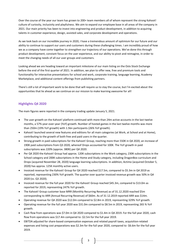Over the course of the year our team has grown to 200+ team members all of whom represent the strong Kahoot! culture of curiosity, inclusivity and playfulness. We aim to expand our employee base in all areas of the company in 2021. Our main priority has been to invest into engineering and product development, in addition to acquiring talents in customer experience, design, assisted sales, and corporate development and operations.

As we look back on our incredible journey in 2020, I have a tremendous amount of optimism for our future and our ability to continue to support our users and customers during these challenging times. I am incredibly proud of how we as a company have come together to strengthen our trajectory of our operations. We've done this through product development, constant focus on the user experience, and our ability to pivot and reimagine, in order to meet the changing needs of all our user groups and customers.

Looking ahead we are heading toward an important milestone of our main listing on the Oslo Stock Exchange before the end of the first quarter of 2021. In addition, we plan to offer new, free and premium tools and functionality for interactive presentations for school and work, corporate training, language learning, Academy Marketplace, and additional content offerings from publishing partners.

There's still a lot of important work to be done that will require us to stay the course, but I'm excited about the opportunities that lie ahead as we continue on our mission to make learning awesome for all!

## **Highlights Q4 2020**

The main figures were reported in the company trading update January 5, 2021.

- The user growth on the Kahoot! platform continued with more than 24m active accounts in the last twelve months, a 57% year-over-year (YoY) growth. Number of hosted games in the last twelve months was more than 250m (19% YoY growth) with 1.5bn participants (26% YoY growth).
- Kahoot! launched several new features and editions for all main categories (at Work, at School and at Home), contributing to the growth of both free and paid users in the quarter.
- Strong growth in paid subscriptions for the Kahoot! Group, reaching more than 550K in Q4 2020, an increase of 190K paid subscriptions from Q3 2020, whereof Drops accounted for 100K. The YoY growth in paid subscriptions was 220% (approx. 380K) per Q4 2020.
- Per Q4 2020 the Kahoot! Group had approx. 120K subscriptions in the Work category, 230K subscriptions in the School category and 200K subscriptions in the Home and Study category, including DragonBox curriculum and Drops (acquired November 28, 2020) language learning subscriptions. In addition, Actimo (acquired October 5, 2020) has approx. 125K monthly active users.
- Invoiced revenue for the Kahoot! Group for Q4 2020 reached \$17.5m, compared to \$5.3m in Q4 2019 as reported, representing 230% YoY growth. The quarter over quarter invoiced revenue growth was 50% in Q4 2020 (vs. Q3 2020).
- Invoiced revenue for the full year 2020 for the Kahoot! Group reached \$45.3m, compared to \$13.0m as reported for 2019, representing 247% YoY growth.
- The Kahoot! Group customer base MRR (Monthly Recurring Revenue) as of 31.12.2020 reached \$5m corresponding to ARR (Annual Recurring Revenue) of \$60m. As of 31 12.2019 reported ARR was \$14m.
- Operating revenue for Q4 2020 was \$12.0m compared to \$2.8m in 2019, representing 329% YoY growth.
- Operating revenue for the full year 2020 was \$31.0m compared to \$8.5m in 2019, representing 265 % YoY growth.
- Cash flow from operations was \$7.0m in Q4 2020 compared to \$1.4m in Q4 2019. For the full year 2020, cash flow from operations was \$17.4m compared to -\$2.5m for the full year 2019.
- EBITDA adjusted for share-based compensation expenses and related payroll taxes, acquisition-related expenses and listing cost preparations was \$2.3m for the full year 2020, compared to -\$6.6m for the full year 2019.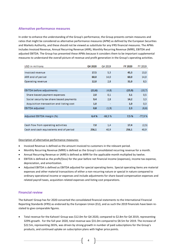## **Alternative performance measures**

In order to enhance the understanding of the Group's performance, the Group presents certain measures and ratios that might be considered as alternative performance measures (APM) as defined by the European Securities and Markets Authority, and these should not be viewed as substitute for any IFRS financial measures. The APMs includes Invoiced Revenue, Annual Recurring Revenue (ARR), Monthly Recurring Revenue (MRR), EBITDA and adjusted EBITDA. The Group has presented these APMs because it considers them to be important supplemental measures to understand the overall picture of revenue and profit generation in the Group's operating activities.

| USD in millions                          | Q4 2020 | Q4 2019  | <b>FY 2020</b> | FY 2019  |
|------------------------------------------|---------|----------|----------------|----------|
|                                          |         |          |                |          |
| Invoiced revenue                         | 17,5    | 5,3      | 45.3           | 13,0     |
| ARR end of period                        | 60.0    | 14.0     | 60.0           | 14,0     |
| Operating revenue                        | 12,0    | 2.8      | 31,0           | 8,5      |
|                                          |         |          |                |          |
| <b>EBITDA before adjustments</b>         | (11,6)  | (4,8)    | (15, 9)        | (10,7)   |
| Share based payment expenses             | 2,0     | 0,1      | 3,1            | 0,5      |
| Social security tax share based payments | 9,4     | 2,8      | 14,2           | 3,3      |
| Acquisition transaction and listing cost | 1.0     | $\sim$   | 1.0            | 0,3      |
| <b>EBITDA</b> adjusted                   | 0.8     | (1, 9)   | 2,3            | (6, 6)   |
|                                          |         |          |                |          |
| Adjusted EBITDA margin (%)               | 6.4%    | $-66.5%$ | 7.5%           | $-77,9%$ |
|                                          |         |          |                |          |
| Cash flow from operating activities      | 7.0     | 1,4      | 17.4           | (2,5)    |
| Cash and cash equivalents end of period  | 256.1   | 40.9     | 256.1          | 40,9     |

## Description of alternative performance measures:

- Invoiced Revenue is defined as the amount invoiced to customers in the relevant period.
- Monthly Recurring Revenue (MRR) is defined as the Group's consolidated recurring revenue for a month.
- Annual Recurring Revenue or (ARR) is defined as MRR for the applicable month multiplied by twelve.
- EBITDA is defined as the profit/(loss) for the year before net financial income (expenses), income tax expense, depreciation, and amortization.
- Adjusted EBITDA is defined as EBITDA adjusted for special operating items. Special operating items are material expenses and other material transactions of either a non-recurring nature or special in nature compared to ordinary operational income or expenses and include adjustments for share-based compensation expenses and related payroll taxes, acquisition-related expenses and listing cost preparations.

## **Financial review**

The Kahoot! Group has for 2020 converted the consolidated financial statements to the International Financial Reporting Standards (IFRS) as endorsed by the European Union (EU), and as such the 2019 financials have been restated to give comparable figures.

• Total revenue for the Kahoot! Group was \$12.0m for Q4 2020, compared to \$2.8m for Q4 2019, representing 329% growth. For the full year 2020, total revenue was \$31.0m compared to \$8.5m for 2019. The increase of \$22.5m, representing 265%, was driven by strong growth in number of paid subscriptions for the Group's products, and continued uptake on subscription plans with higher price points.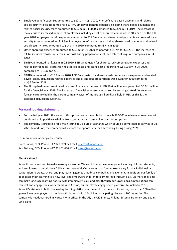- Employee benefit expenses amounted to \$17.1m in Q4 2020, whereof share-based payments and related social security taxes accounted for \$11.4m. Employee benefit expenses excluding share-based payments and related social security taxes amounted to \$5.7m in Q4 2020, compared to \$2.8m in Q4 2019. The increase is mainly due to increased number of employees including effect of acquired companies in Q4 2020. For the full year 2020, employee benefit expenses amounted to \$31.6m whereof share based payments and related social security taxes accounted for \$17.3m. Employee benefit expenses excluding share-based payments and related social security taxes amounted to \$14.3m in 2020, compared to \$8.4m in 2019.
- Other operating expenses amounted to \$5.1m for Q4 2020 compared to \$1.7m for Q4 2019. The increase of \$3.4m includes transaction acquisition cost, listing preparation cost, and effect of acquired companies in Q4 2020.
- EBITDA amounted to -\$11.6m in Q4 2020. EBITDA adjusted for share-based compensation expenses and related payroll taxes, acquisition-related expenses and listing cost preparations was \$0.8m in Q4 2020, compared to -\$1.9m for 2019.
- EBITDA amounted to -\$15.9m for 2020. EBITDA adjusted for share-based compensation expenses and related payroll taxes, acquisition-related expenses and listing cost preparations was \$2.3m for 2020 compared to -\$6.6m for 2019.
- The Group had on a consolidated basis net financial expenses of USD 16.6 million, compared to USD 0.1 million for the financial year 2019. The increase in financial expenses was caused by exchange rate differences on foreign currency held in the parent company. Most of the Group's liquidity is held in USD as this is the expected acquisition currency.

## **Forward looking statement**

- For the full year 2021, the Kahoot! Group's reiterate the ambition to reach \$90-100m in invoiced revenues with continued solid positive cash flow from operations and one million paid subscriptions.
- The company is preparing for a main listing at Oslo Stock Exchange which could be completed as early as in Q1 2021. In addition, the company will explore the opportunity for a secondary listing during 2021.

For more information, please contact:

Eilert Hanoa, CEO, Phone: +47 928 32 905, Email: [eilerth@kahoot.com](mailto:eilerth@kahoot.com) Ken Østreng, CFO, Phone: +47 911 51 686, Email[: keno@kahoot.com](mailto:keno@kahoot.com)

## **About Kahoot!**

Kahoot! is on a mission to make learning awesome! We want to empower everyone, including children, students, and employees to unlock their full learning potential. Our learning platform makes it easy for any individual or corporation to create, share, and play learning games that drive compelling engagement. In addition, our family of apps takes math learning to a new level and empowers children to learn to read through play. Learners of all ages can make language learning natural with immersive visuals and play through our Drops apps. Organizations can connect and engage their work teams with Actimo, our employee engagement platform. Launched in 2013, Kahoot!'s vision is to build the leading learning platform in the world. In the last 12 months, more than 250 million games have been played on the Kahoot! platform with 1.5 billion participating players in 200 countries. The company is headquartered in Norway with offices in the US, the UK, France, Finland, Estonia, Denmark and Spain. Let's play!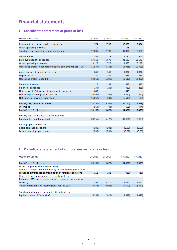## **Financial statements**

## **1. Consolidated statement of profit or loss**

| USD in thousands                                             | Q4 2020 | Q4 2019 | FY 2020  | FY 2019   |
|--------------------------------------------------------------|---------|---------|----------|-----------|
| Revenue from contracts with customers                        | 11974   | 2 7 9 8 | 30 859   | 8 4 6 4   |
| Other operating income                                       | 30      |         | 175      |           |
| Total revenue and other operating income                     | 12 005  | 2 7 9 8 | 31 034   | 8 4 6 4   |
| Cost of sales                                                | 1356    | 179     | 3790     | 906       |
| Employee benefit expenses                                    | 17 110  | 5679    | 31 625   | 12 14 2   |
| Other operating expenses                                     | 5 1 2 6 | 1725    | 11 5 53  | 6 1 3 8   |
| Operating profit/(loss) before deprec. and amortiz. (EBITDA) | (11587) | (4786)  | (15936)  | (10721)   |
| Amortization of intangible assets                            | 861     | 365     | 1897     | 1097      |
| Depreciation                                                 | 220     | 144     | 685      | 569       |
| Operating profit/(loss) (EBIT)                               | (12668) | (5296)  | (18517)  | (12387)   |
| <b>Financial income</b>                                      | 116     | 237     | 372      | 347       |
| <b>Financial expenses</b>                                    | (134)   | (185)   | (329)    | (255)     |
| Net change in fair value of financial instruments            | 848     |         | 848      | ۰         |
| Net foreign exchange gains (losses)                          | (16892) | (261)   | (17510)  | (224)     |
| Net financial income (expenses)                              | (16062) | (209)   | (16619)  | (133)     |
| Profit/(loss) before income tax                              | (28730) | (5505)  | (35 136) | (12519)   |
| Income tax                                                   | (564)   | (33)    | (656)    | (44)      |
| Profit/(loss) for the year                                   | (28166) | (5472)  | (34481)  | (12475)   |
| Profit/(loss) for the year is attributable to:               |         |         |          |           |
| Equity holders of Kahoot! AS                                 | (28166) | (5472)  | (34481)  | (12, 475) |
| Earnings per share in USD                                    |         |         |          |           |
| Basic earnings per share                                     | (0,06)  | (0,02)  | (0,09)   | (0,03)    |
| Diluted earnings per share                                   | (0,06)  | (0,02)  | (0,09)   | (0,03)    |

## **2. Consolidated statement of comprehensive income or loss**

| USD in thousands                                                 | Q4 2020 | Q4 2019 | FY 2020 | FY 2019  |
|------------------------------------------------------------------|---------|---------|---------|----------|
|                                                                  |         |         |         |          |
| Profit/(loss) for the year                                       | (28166) | (5472)  | (34481) | (12 475) |
| Other comprehensive income (loss):                               |         |         |         |          |
| Items that might be subsequently reclassified to profit or loss: |         |         |         |          |
| Exchange differences on translation of foreign operations        | 211     | 241     | (325)   | (15)     |
| Item that are not reclassified to profit or loss:                |         |         |         |          |
| Exchange difference on translation to another presentation       |         |         |         |          |
| currency                                                         | 21 597  | 3 2 1 0 | 17413   | 1 0 4 4  |
| Total comprehensive income (loss) for the year                   | (6358)  | (2022)  | (17392) | (11447)  |
|                                                                  |         |         |         |          |
| Total comprehensive income is attributable to:                   |         |         |         |          |
| Equity Holders of Kahoot! AS                                     | (6358)  | (2 022) | (17392) | (11 447) |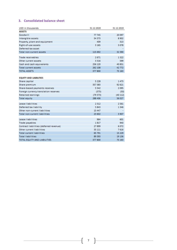## **3. Consolidated balance sheet**

| USD in thousands                        | 31.12.2020 | 31.12.2019 |
|-----------------------------------------|------------|------------|
| <b>ASSETS</b>                           |            |            |
| Goodwill                                | 77 745     | 20 097     |
| Intangible assets                       | 34 373     | 8 9 0 2    |
| Property, plant and equipment           | 409        | 313        |
| Right-of-use assets                     | 3 1 6 5    | 3078       |
| Deferred tax asset                      |            |            |
| Total non-current assets                | 115 692    | 32 390     |
| <b>Trade receivables</b>                | 2671       | 1322       |
| Other current assets                    | 3 3 1 6    | 599        |
| Cash and cash equivalents               | 256 120    | 40 851     |
| <b>Total current assets</b>             | 262 108    | 42772      |
| <b>TOTAL ASSETS</b>                     | 377 800    | 75 163     |
|                                         |            |            |
| <b>EQUITY AND LIABILITIES</b>           |            |            |
| Share capital                           | 5 2 2 8    | 1473       |
| Share premium                           | 357 383    | 92 621     |
| Share-based payments reserves           | 5 5 4 2    | 2095       |
| Foreign currency translation reserves   | (375)      | (50)       |
| <b>Retained earnings</b>                | (79373)    | (40112)    |
| <b>Total equity</b>                     | 288 406    | 56 027     |
| Lease liabilities                       | 2312       | 2561       |
| Deferred tax liability                  | 5843       | 1 3 4 6    |
| Other non-current liabilities           | 15 447     |            |
| <b>Total non-current liabilities</b>    | 23 602     | 3 9 0 7    |
| Lease liabilities                       | 964        | 601        |
| Trade payables                          | 1817       | 940        |
| Contract liabilities (deferred revenue) | 27899      | 6072       |
| Other current liabilities               | 35 111     | 7616       |
| <b>Total current liabilities</b>        | 65 791     | 15 2 2 9   |
| <b>Total liabilities</b>                | 89 393     | 19 13 6    |
| TOTAL EQUITY AND LIABILITIES            | 377800     | 75 163     |

7 }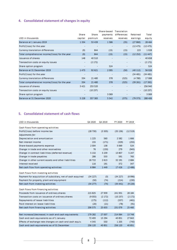## **4. Consolidated statement of changes in equity**

|                                                |                          |                          | Share-based              | <b>Translation</b>       |                |          |
|------------------------------------------------|--------------------------|--------------------------|--------------------------|--------------------------|----------------|----------|
|                                                | Share                    | Share                    | payments                 | differences              | Retained       | Total    |
| USD in thousands                               | capital                  | premium                  | reserves                 | reserves                 | earnings       | equity   |
| Balance at 1 January 2019                      | 1 3 3 4                  | 53 439                   | 1586                     | (35)                     | (27860)        | 28 4 64  |
| Profit/(loss) for the year                     | $\overline{\phantom{a}}$ | $\sim$                   | $\sim$                   | $\blacksquare$           | (12475)        | (12475)  |
| Currency translation differences               | (9)                      | 844                      | (15)                     | (15)                     | 223            | 1028     |
| Total comprehensive income/(loss) for the year | (9)                      | 844                      | (15)                     | (15)                     | (12 252)       | (11.447) |
| <b>Issuance of shares</b>                      | 148                      | 40 510                   | $\overline{\phantom{a}}$ | $\overline{\phantom{a}}$ | $\sim$         | 40 658   |
| Transaction costs on equity issues             | $\sim$                   | (2 172)                  | $\sim$                   | $\overline{\phantom{a}}$ | $\sim$         | (2172)   |
| Share option program                           | $\sim$                   |                          | 524                      | $\blacksquare$           | ÷              | 524      |
| Balance at 31 December 2019                    | 1473                     | 92 621                   | 2095                     | (50)                     | (40112)        | 56 0 26  |
| Profit/(loss) for the year                     | $\overline{\phantom{a}}$ | $\overline{\phantom{a}}$ | $\blacksquare$           | $\sim$                   | (34481)        | (34481)  |
| Currency translation differences               | 334                      | 21 4 8 0                 | 378                      | (325)                    | (4780)         | 17088    |
| Total comprehensive income/(loss) for the year | 334                      | 21 4 8 0                 | 378                      | (325)                    | (39 261)       | (17392)  |
| <b>Issuance of shares</b>                      | 3 4 2 1                  | 253 520                  | $\sim$                   | $\overline{\phantom{a}}$ | $\sim$         | 256 940  |
| Transaction costs on equity issues             | $\sim$                   | (10237)                  | $\sim$                   | $\sim$                   | $\blacksquare$ | (10237)  |
| Share option program                           | $\sim$                   | $\sim$                   | 3 0 6 9                  | $\blacksquare$           | $\sim$         | 3 0 6 9  |
| Balance at 31 December 2020                    | 5 2 2 8                  | 357 383                  | 5 5 4 2                  | (375)                    | (79 373)       | 288 406  |

## **5. Consolidated statement of cash flows**

| USD in thousands                                            | Q4 2020  | Q4 2019 | FY 2020  | FY 2019  |
|-------------------------------------------------------------|----------|---------|----------|----------|
| Cash flows from operating activities                        |          |         |          |          |
| Profit/(loss) before income tax                             | (28730)  | (5 505) | (35136)  | (12.519) |
| Adjustments for:                                            |          |         |          |          |
| Depreciation and amortization                               | 1 2 2 5  | 560     | 2582     | 1666     |
| Net interest income                                         | 155      | (171)   | (329)    | (255)    |
| Share-based payments expense                                | 2 0 0 4  | 138     | 3 0 6 9  | 524      |
| Change in trade and other receivables                       | 76       | (150)   | 279      | (945)    |
| Change in contract liabilities (deferred revenue)           | 5 1 3 2  | 3 2 3 9 | 13807    | 5 2 4 7  |
| Change in trade payables                                    | 286      | 533     | 591      | 765      |
| Change in other current assets and other liabilities        | 26 722   | 2 6 1 3 | 32 191   | 2 6 8 4  |
| Interest received                                           | 116      | 191     | 372      | 347      |
| Net cash flow from operating activities                     | 6984     | 1449    | 17426    | (2486)   |
| Cash flows from investing activities                        |          |         |          |          |
| Payment for acquisition of subsidiary, net of cash acquired | (34 227) | (0)     | (34 227) | (8996)   |
| Payment for property, plant and equipment                   | (50)     | (74)    | (214)    | (230)    |
| Net cash from investing activities                          | (34277)  | (74)    | (34441)  | (9 226)  |
| Cash flows from financing activities                        |          |         |          |          |
| Proceeds from issuance of ordinary shares                   | 215825   | 27 939  | 241 931  | 28 184   |
| Transaction costs on issuance of ordinary shares            | (9055)   | (2172)  | (10237)  | (2172)   |
| Repayments of lease liabilities                             | (175)    | (112)   | (537)    | (461)    |
| Paid interest on lease liabilities.                         | (20)     | (21)    | (78)     | (91)     |
| Net cash from financing activities                          | 206 575  | 25 633  | 231 079  | 25 460   |
|                                                             |          |         |          |          |
| Net increase/(decrease) in cash and cash equivalents        | 179 282  | 27 007  | 214 064  | 13 748   |
| Cash and cash equivalents as of 1 January                   | 72 493   | 13 294  | 40 851   | 27843    |
| Effects of exchange rate changes on cash and cash equiv.    | 4 3 4 5  | 550     | 1 2 0 5  | (740)    |
| Cash and cash equivalents as of 31 December                 | 256 120  | 40 851  | 256 120  | 40 851   |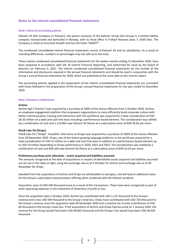## **Notes to the interim consolidated financial statements**

#### **Note 1 General accounting policies**

Kahoot! AS (the Company or Kahoot!), the parent company of the Kahoot! Group (the Group) is a limited liability company incorporated and domiciled in Norway, with its head office in Fridtjof Nansens plass 7, 0160 Oslo. The Company is listed on Euronext Growth and has the ticker "KAHOT".

The condensed consolidated interim financial statements consist of Kahoot! AS and its subsidiaries. As a result of rounding differences, numbers or percentages may not add up to the total.

These interim condensed consolidated financial statements for the twelve months ending 31 December 2020, have been prepared in accordance with IAS 34 Interim Financial Reporting, and authorized for issue by the board of directors on February 9, 2021. The interim condensed consolidated financial statements do not include all the information and disclosures required in the annual financial statements and should be read in conjunction with the Group's annual financial statements for 2020, which are published at the same date as this interim report.

The accounting policies applied in the preparation of the interim consolidated financial statements are consistent with those followed in the preparation of the Group's annual financial statements for the year ended 31 December 2020.

#### **Note 2 Business combination**

#### **Actimo**

Actimo ApS ("Actimo") was acquired by a purchase of 100% of the shares effective from 5 October 2020. Actimo, an employee engagement platform that empowers organizations to more efficiently build corporate culture with better communication, training and interaction with the workforce was acquired for a total consideration of USD 26-33 million on a debt and cash free basis including a performance-based element. The consideration was settled by a combination of cash and 1,114,963 new Kahoot! AS Shares at a subscription price of NOK 46.82 per share.

## **PlanB Labs Oü (Drops)**

PlanB Labs Oü ("Drops", hereafter referred to as Drops) was acquired by a purchase of 100% of the shares effective from 28 November 2020. Drops, one of the fastest growing language platforms in the world was acquired for a total consideration of USD 31 million on a debt and cash free basis in addition to a performance-based element up to USD 19 million depending on Drops performance in 2020, 2021 and 2022. The consideration was settled by a combination of cash and 859,169 new Kahoot! AS Shares at a subscription price of NOK 62.63 per share.

#### **Preliminary purchase price allocation - assets acquired and liabilities assumed**

The amounts recognized at the date of acquisitions in respect of identifiable assets acquired and liabilities assumed are set out in the table at right, using the exchange rate as of 5 October for Actimo and exchange rate as of 28 November for Drops.

Goodwill from the acquisitions of Actimo and Drops are attributable to synergies, and will lead to additional value for the Group's subscription-based product offering when combined with the Kahoot! products.

Acquisition costs of USD 540 thousand arose as a result of the transactions. These have been recognized as part of other operating expenses in the statement of statement of profit or loss.

Since the acquisition date 5 October 2020, Actimo has contributed with USD 1,125 thousand to the Group's revenue and a loss USD 590 thousand to the Group's total loss. Drops have contributed with USD 726 thousand to the Group's revenue since the acquisition date 28 November 2020 and a positive net income contribution of USD 60 thousand to the Group's total loss. If the acquisitions of Actimo and Drops had occurred on 1 January 2020, the revenue for the Group would have been USD 40,842 thousand and the Group's loss would have been USD 36,443 thousand.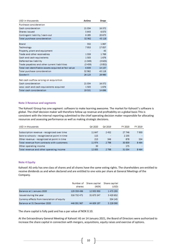| USD in thousands                                     | Actimo   | <b>Drops</b> |
|------------------------------------------------------|----------|--------------|
| Purchase consideration                               |          |              |
| Cash consideration                                   | 21 0 34  | 16 372       |
| Shares issued                                        | 5 6 4 3  | 6073         |
| Contingent liability / earn-out                      | 6 2 8 5  | 20 673       |
| Total purchase consideration                         | 32 962   | 43 118       |
| <b>Brand</b>                                         | 332      | 1067         |
| Technology                                           | 7953     | 17057        |
| Property, plant and equipment                        | ۰        | 45           |
| Trade and other receivables                          | 1559     | 1769         |
| Cash and cash equivalents                            | 1503     | 1676         |
| Deferred tax liability                               | (1049)   | (3625)       |
| Trade payables and other current liabilities         | (3, 459) | (3852)       |
| Total net identifiable assets acquired at fair value | 6839     | 14 137       |
| Total purchase consideration                         | 32 962   | 43 118       |
| Goodwill                                             | 26 123   | 28 980       |
| Net cash outflow arising on acquisition              |          |              |
| Cash consideration                                   | 21 034   | 16 372       |
| Less: cash and cash equivalents acquired             | 1503     | 1676         |
| <b>Total cash consideration</b>                      | 19 531   | 14 696       |

#### **Note 3 Revenue and segments**

The Kahoot! Group has one segment: software to make learning awesome. The market for Kahoot!'s software is global. The chief decision maker will therefore follow up revenue and profitability on a global basis This is consistent with the internal reporting submitted to the chief operating decision maker responsible for allocating resources and assessing performance as well as making strategic decisions.

| USD in thousands                              | Q4 2020 | Q4 2019                  | FY 2020 | FY 2019 |
|-----------------------------------------------|---------|--------------------------|---------|---------|
|                                               |         |                          |         |         |
| Subscription revenue - recognized over time   | 11 647  | 2452                     | 27 746  | 7930    |
| Sale to schools - recognized at point in time | 115     | $\overline{\phantom{a}}$ | 2 2 3 5 |         |
| Other revenue - recognized at point in time   | 213     | 346                      | 878     | 534     |
| Total revenue from contracts with customers   | 11974   | 2 7 9 8                  | 30859   | 8464    |
| Other operating income                        | 30      | $\blacksquare$           | 175     |         |
| Total revenue and other operating income      | 12 005  | 2798                     | 31 0 34 | 8464    |

#### **Note 4 Equity**

Kahoot! AS only has one class of shares and all shares have the same voting rights. The shareholders are entitled to receive dividends as and when declared and are entitled to one vote per share at General Meetings of the Company.

|                                             | Number of<br>shares | Share capital<br>(NOK) | Share capital<br>(USD) |
|---------------------------------------------|---------------------|------------------------|------------------------|
| Balance at 1 January 2020                   | 129 359 496         | 12 935 950             | 1473293                |
| Issued during the year                      | 316 732 471         | 31 673 247             | 3 4 20 6 5 2           |
| Currency effects from translation of equity |                     |                        | 334 145                |
| Balance at 31 December 2020                 | 446 091 967         | 44 609 197             | 5 228 090              |

The share capital is fully paid and has a par value of NOK 0.10.

At the Extraordinary General Meeting of Kahoot! AS on 14 January 2021, the Board of Directors were authorized to increase the share capital in connection with mergers, acquisitions, equity raises and exercise of options.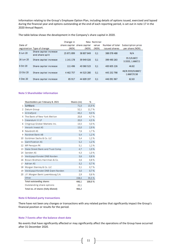Information relating to the Group's Employee Option Plan, including details of options issued, exercised and lapsed during the financial year and options outstanding at the end of each reporting period, is set out in note 17 in the 2020 Annual Report.

The table below shows the development in the Company's share capital in 2020.

|           |                                           | Change in     |                             | New Nominal |                 |                                  |
|-----------|-------------------------------------------|---------------|-----------------------------|-------------|-----------------|----------------------------------|
| Date of   |                                           |               | share capital share capital | value       | Number of total | Subscription price               |
|           | registration Type of change               | (NOK)         | (NOK)                       | (NOK)       | issued shares   | per share (NOK)                  |
| 8 Jun 20  | Share capital increase<br>and share split | 25 871 899    | 38 807 849                  | 0,1         | 388 078 488     | N/A                              |
| 16 Jun 20 | Share capital increase                    | 1 141 178     | 39 949 026                  | 0,1         | 399 490 263     | 35.5/6.667/<br>3.3333, 1.6667/1  |
| 6 Oct 20  | Share capital increase                    | 111 496       | 40 060 523                  | 0.1         | 400 605 226     | 46.82                            |
| 13 Oct 20 | Share capital increase                    | 4 4 6 2 7 5 7 | 44 523 280                  | 0.1         | 445 232 798     | 46/8.3333/6.6667/<br>1.6667/0.58 |
| 4 Dec 20  | Share capital increase                    | 85 917        | 44 609 197                  | 0.1         | 446 091 967     | 62.63                            |

#### **Note 5 Shareholder information**

|    | Shareholders per February 8, 2021   | Shares (m) | %      |
|----|-------------------------------------|------------|--------|
| 1  | SoftBank                            | 71.0       | 15,9%  |
| 2  | Datum Group                         | 52.1       | 11,7 % |
| 3  | Glitrafjord                         | 40,2       | 9,0%   |
| 4  | The Bank of New York Mellon         | 20,8       | 4.7%   |
| 5  | Creandum III LP                     | 20.0       | 4,5%   |
| 6  | Citigroup Global Markets Inc.       | 13,5       | 3,0%   |
| 7  | Versvik Invest AS                   | 13.0       | 2.9%   |
| 8  | Newbrott AS                         | 7,6        | 1,7%   |
| 9  | Nordnet Bank AB                     | 5,4        | 1,2%   |
| 10 | Goldman Sachs & Co. LLC             | 5,4        | 1,2%   |
| 11 | <b>Gamification AS</b>              | 5,2        | 1,2%   |
|    | 12 MP Pensjon PK                    | 5,1        | 1,2%   |
| 13 | State Street Bank and Trust Comp    | 4,7        | 1.0%   |
|    | 14 Sanden AS                        | 4,3        | 1,0%   |
| 15 | Verdipapirfondet DNB Norden         | 3,6        | 0.8%   |
| 16 | Brown Brothers Harriman & Co.       | 3,6        | 0,8%   |
| 17 | <b>Adrian AS</b>                    | 3,2        | 0.7%   |
| 18 | Morgan Stanley & Co. LLC            | 3,1        | 0,7%   |
| 19 | Verdipapirfondet DNB Grønt Norden   | 3,0        | 0.7%   |
| 20 | J.P. Morgan Bank Luxembourg S.A.    | 2,9        | 0,6%   |
|    | Other                               | 158,4      | 35,5%  |
|    | <b>Total outstanding shares</b>     | 446,1      | 100,0% |
|    | Outstanding share options           | 20,1       |        |
|    | Total no. of shares (fully diluted) | 466,2      |        |

#### **Note 6 Related party transactions**

There have not been any changes or transactions with any related parties that significantly impact the Group's financial position or results for the period.

## **Note 7 Events after the balance sheet date**

No events that have significantly affected or may significantly affect the operations of the Group have occurred after 31 December 2020.